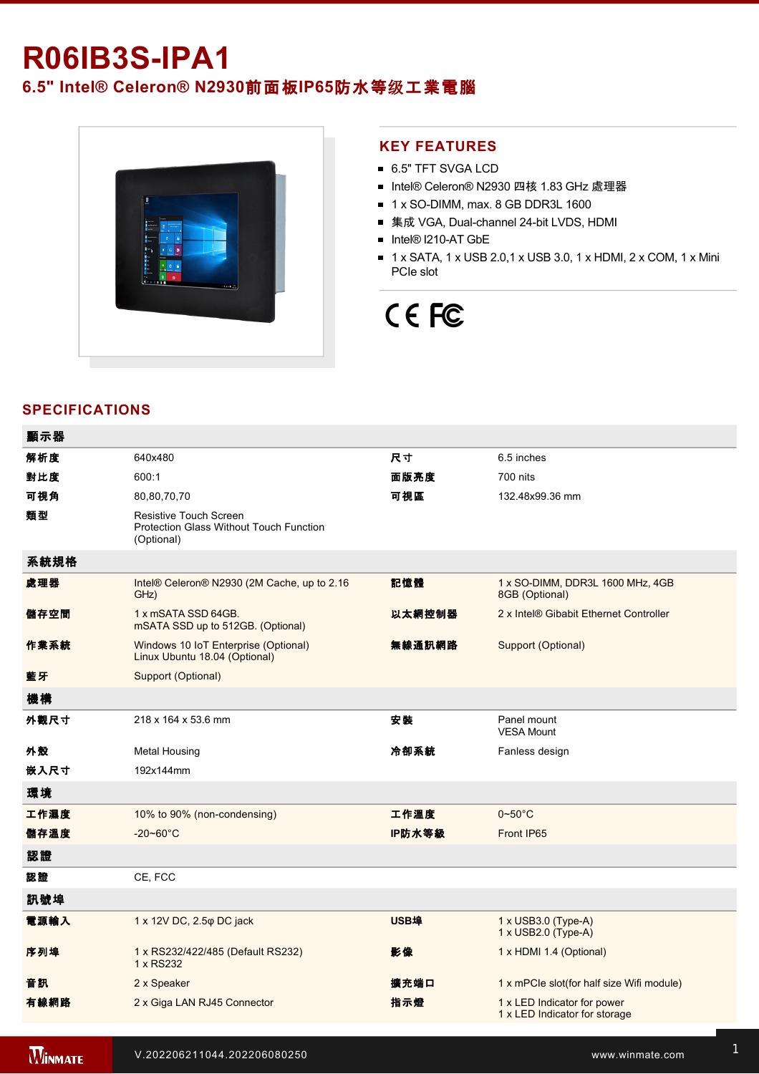# **R06IB3SIPA1**

**6.5" Intel® Celeron® N2930**前面板**IP65**防水等级工業電腦



### **KEY FEATURES**

- 6.5" TFT SVGA LCD
- Intel® Celeron® N2930 四核 1.83 GHz 處理器
- $\blacksquare$  1 x SO-DIMM, max. 8 GB DDR3L 1600
- 集成 VGA, Dual-channel 24-bit LVDS, HDMI
- Intel® I210-AT GbE
- 1 x SATA, 1 x USB 2.0,1 x USB 3.0, 1 x HDMI, 2 x COM, 1 x Mini PCIe slot

# CE FC

## **SPECIFICATIONS**

| 顯示器  |                                                                                               |             |                                                              |
|------|-----------------------------------------------------------------------------------------------|-------------|--------------------------------------------------------------|
| 解析度  | 640x480                                                                                       | 尺寸          | 6.5 inches                                                   |
| 對比度  | 600:1                                                                                         | 面版亮度        | 700 nits                                                     |
| 可視角  | 80,80,70,70                                                                                   | 可視區         | 132.48x99.36 mm                                              |
| 類型   | <b>Resistive Touch Screen</b><br><b>Protection Glass Without Touch Function</b><br>(Optional) |             |                                                              |
| 系統規格 |                                                                                               |             |                                                              |
| 處理器  | Intel® Celeron® N2930 (2M Cache, up to 2.16<br>GHz)                                           | 記憶體         | 1 x SO-DIMM, DDR3L 1600 MHz, 4GB<br>8GB (Optional)           |
| 儲存空間 | 1 x mSATA SSD 64GB.<br>mSATA SSD up to 512GB. (Optional)                                      | 以太網控制器      | 2 x Intel® Gibabit Ethernet Controller                       |
| 作業系統 | Windows 10 IoT Enterprise (Optional)<br>Linux Ubuntu 18.04 (Optional)                         | 無線通訊網路      | Support (Optional)                                           |
| 藍牙   | Support (Optional)                                                                            |             |                                                              |
| 機構   |                                                                                               |             |                                                              |
| 外觀尺寸 | 218 x 164 x 53.6 mm                                                                           | 安装          | Panel mount<br><b>VESA Mount</b>                             |
| 外殼   | <b>Metal Housing</b>                                                                          | 冷卻系統        | Fanless design                                               |
| 嵌入尺寸 | 192x144mm                                                                                     |             |                                                              |
| 環境   |                                                                                               |             |                                                              |
| 工作濕度 | 10% to 90% (non-condensing)                                                                   | 工作溫度        | $0\nthicksim50^{\circ}$ C                                    |
| 儲存溫度 | $-20 - 60^{\circ}C$                                                                           | IP防水等級      | Front IP65                                                   |
| 認證   |                                                                                               |             |                                                              |
| 認證   | CE, FCC                                                                                       |             |                                                              |
| 訊號埠  |                                                                                               |             |                                                              |
| 電源輸入 | 1 x 12V DC, 2.5 $\varphi$ DC jack                                                             | <b>USB埠</b> | 1 x USB3.0 (Type-A)<br>1 x USB2.0 (Type-A)                   |
| 序列埠  | 1 x RS232/422/485 (Default RS232)<br>1 x RS232                                                | 影像          | 1 x HDMI 1.4 (Optional)                                      |
| 音訊   | 2 x Speaker                                                                                   | 擴充端口        | 1 x mPCle slot(for half size Wifi module)                    |
| 有線網路 | 2 x Giga LAN RJ45 Connector                                                                   | 指示燈         | 1 x LED Indicator for power<br>1 x LED Indicator for storage |
|      |                                                                                               |             |                                                              |

**WINMATE**